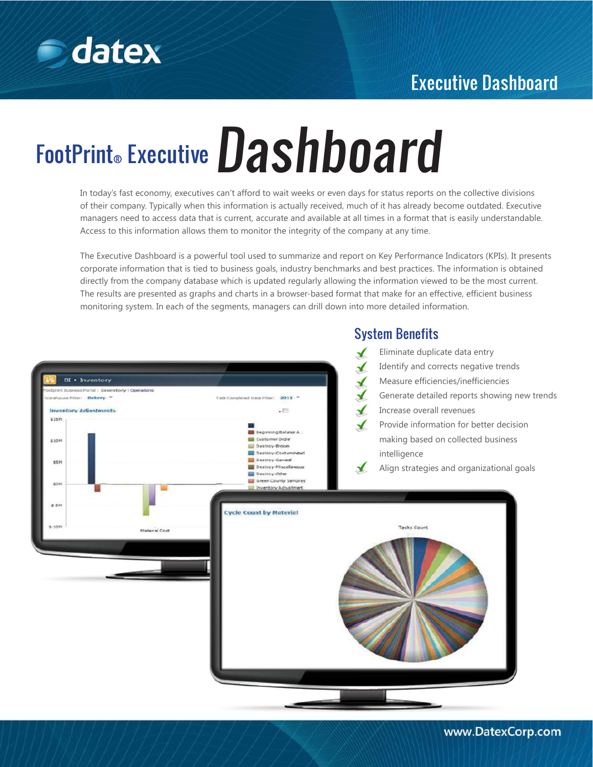

## Executive Dashboard

# FootPrint® Executive Dashboard

In today's fast economy, executives can't afford to wait weeks or even days for status reports on the collective divisions of their company. Typically when this information is actually received, much of it has already become outdated. Executive managers need to access data that is current, accurate and available at all times in a format that is easily understandable. Access to this information allows them to monitor the integrity of the company at any time.

The Executive Dashboard is a powerful tool used to summarize and report on Key Performance Indicators (KPIs). It presents corporate information that is tied to business goals, industry benchmarks and best practices. The information is obtained directly from the company database which is updated regularly allowing the information viewed to be the most current. The results are presented as graphs and charts in a browser-based format that make for an effective, efficient business monitoring system. In each of the segments, managers can drill down into more detailed information.